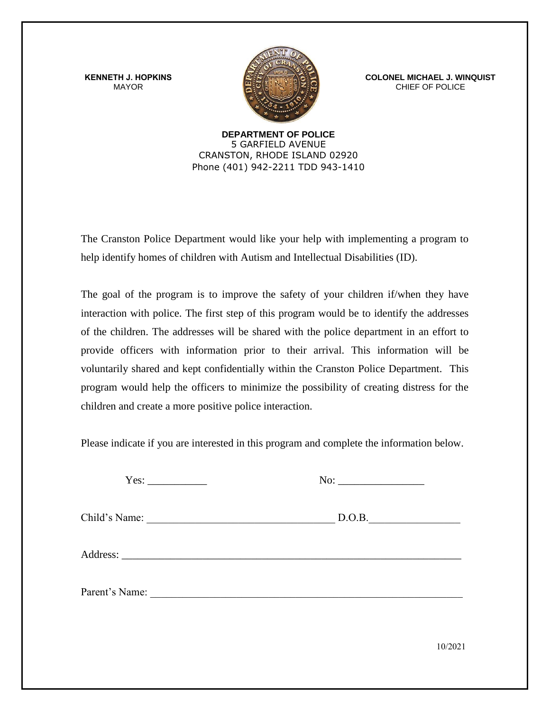**KENNETH J. HOPKINS** MAYOR



**COLONEL MICHAEL J. WINQUIST** CHIEF OF POLICE

**DEPARTMENT OF POLICE**  5 GARFIELD AVENUE CRANSTON, RHODE ISLAND 02920 Phone (401) 942-2211 TDD 943-1410

The Cranston Police Department would like your help with implementing a program to help identify homes of children with Autism and Intellectual Disabilities (ID).

The goal of the program is to improve the safety of your children if/when they have interaction with police. The first step of this program would be to identify the addresses of the children. The addresses will be shared with the police department in an effort to provide officers with information prior to their arrival. This information will be voluntarily shared and kept confidentially within the Cranston Police Department. This program would help the officers to minimize the possibility of creating distress for the children and create a more positive police interaction.

Please indicate if you are interested in this program and complete the information below.

Yes: \_\_\_\_\_\_\_\_\_\_\_ No: \_\_\_\_\_\_\_\_\_\_\_\_\_\_\_\_

Child's Name: \_\_\_\_\_\_\_\_\_\_\_\_\_\_\_\_\_\_\_\_\_\_\_\_\_\_\_\_\_\_\_\_\_\_\_ D.O.B.\_\_\_\_\_\_\_\_\_\_\_\_\_\_\_\_\_

Address:

Parent's Name:

10/2021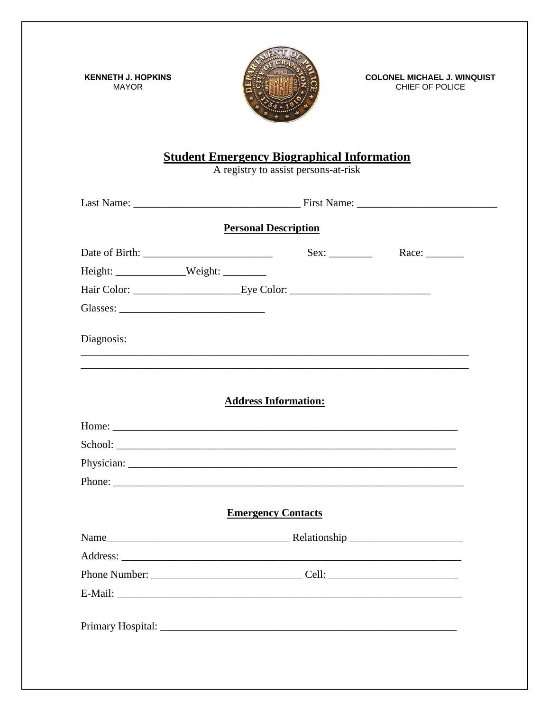**KENNETH J. HOPKINS MAYOR** 



**COLONEL MICHAEL J. WINQUIST** CHIEF OF POLICE

## **Student Emergency Biographical Information**<br>A registry to assist persons-at-risk

|                   | <b>Personal Description</b>                                                       |  |              |  |
|-------------------|-----------------------------------------------------------------------------------|--|--------------|--|
|                   |                                                                                   |  | Race: $\_\_$ |  |
| $Height:$ Weight: |                                                                                   |  |              |  |
|                   |                                                                                   |  |              |  |
|                   |                                                                                   |  |              |  |
| Diagnosis:        | ,我们也不能在这里的时候,我们也不能在这里的时候,我们也不能不能不能不能不能不能不能不能不能不能不能不能不能不能不能。""我们不能不能不能不能不能不能不能不能不能 |  |              |  |
|                   |                                                                                   |  |              |  |
|                   | <b>Address Information:</b>                                                       |  |              |  |
|                   |                                                                                   |  |              |  |
|                   |                                                                                   |  |              |  |
|                   |                                                                                   |  |              |  |
|                   | Phone:                                                                            |  |              |  |
|                   | <b>Emergency Contacts</b>                                                         |  |              |  |
|                   |                                                                                   |  |              |  |
|                   |                                                                                   |  |              |  |
|                   |                                                                                   |  |              |  |
|                   |                                                                                   |  |              |  |
|                   |                                                                                   |  |              |  |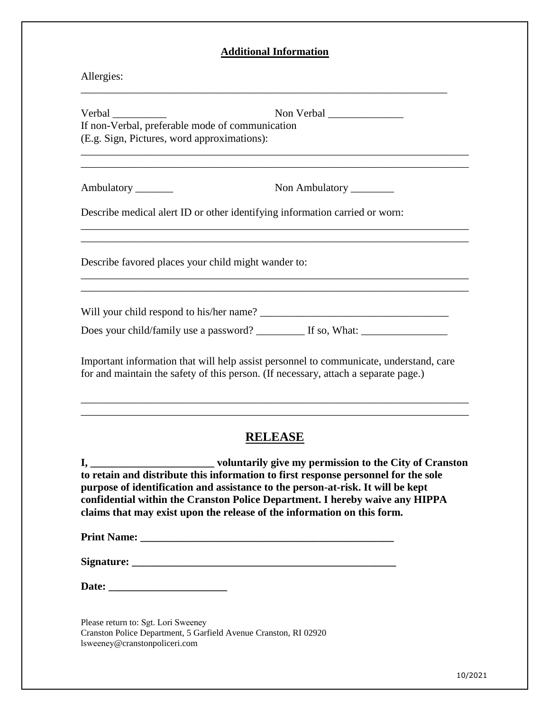## **Additional Information**

| Allergies:                                                                                               |                                                                                                                                                                               |
|----------------------------------------------------------------------------------------------------------|-------------------------------------------------------------------------------------------------------------------------------------------------------------------------------|
| Verbal<br>If non-Verbal, preferable mode of communication<br>(E.g. Sign, Pictures, word approximations): |                                                                                                                                                                               |
| Ambulatory ________                                                                                      | Non Ambulatory _________                                                                                                                                                      |
|                                                                                                          | Describe medical alert ID or other identifying information carried or worn:                                                                                                   |
| Describe favored places your child might wander to:                                                      |                                                                                                                                                                               |
|                                                                                                          | Will your child respond to his/her name?<br>Does your child/family use a password? _________ If so, What: __________________                                                  |
|                                                                                                          | Important information that will help assist personnel to communicate, understand, care<br>for and maintain the safety of this person. (If necessary, attach a separate page.) |
| <u>I, _________________</u>                                                                              | <b>RELEASE</b><br>voluntarily give my permission to the City of Cranston<br>to retain and distribute this information to first response negannal for the sole                 |

**to retain and distribute this information to first response personnel for the sole purpose of identification and assistance to the person-at-risk. It will be kept confidential within the Cranston Police Department. I hereby waive any HIPPA claims that may exist upon the release of the information on this form.** 

**Print Name: \_\_\_\_\_\_\_\_\_\_\_\_\_\_\_\_\_\_\_\_\_\_\_\_\_\_\_\_\_\_\_\_\_\_\_\_\_\_\_\_\_\_\_\_\_\_\_** 

**Signature: \_\_\_\_\_\_\_\_\_\_\_\_\_\_\_\_\_\_\_\_\_\_\_\_\_\_\_\_\_\_\_\_\_\_\_\_\_\_\_\_\_\_\_\_\_\_\_\_\_**

| Date: |
|-------|
|-------|

Please return to: Sgt. Lori Sweeney Cranston Police Department, 5 Garfield Avenue Cranston, RI 02920 lsweeney@cranstonpoliceri.com